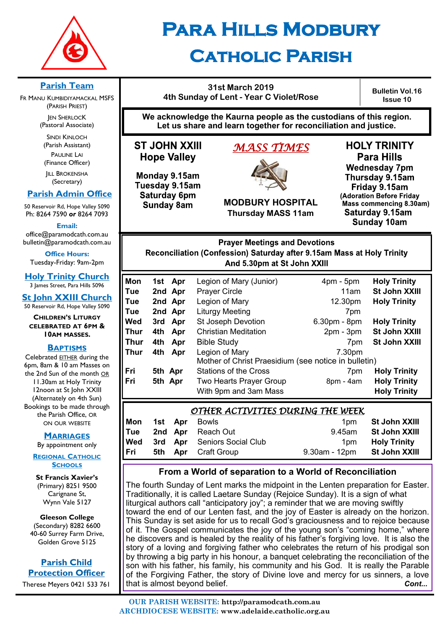

**Parish Team**  FR MANU KUMBIDIYAMACKAL MSFS (PARISH PRIEST) **JEN SHERLOCK** (Pastoral Associate) SINDI KINLOCH (Parish Assistant) PAULINE LAI (Finance Officer) **IILL BROKENSHA** (Secretary)  **Parish Admin Office** 50 Reservoir Rd, Hope Valley 5090 Ph: 8264 7590 *or* 8264 7093 **Email:**  office@paramodcath.com.au bulletin@paramodcath.com.au **Office Hours:**  Tuesday-Friday: 9am-2pm **Holy Trinity Church** 3 James Street, Para Hills 5096 **St John XXIII Church** 50 Reservoir Rd, Hope Valley 5090

# **Para Hills Modbury Catholic Parish**

#### **31st March 2019 4th Sunday of Lent - Year C Violet/Rose**

**Bulletin Vol.16 Issue 10**

**We acknowledge the Kaurna people as the custodians of this region. Let us share and learn together for reconciliation and justice.**

# **ST JOHN XXIII Hope Valley**

Monday 9.15am Tuesday 9.15am Saturday 6pm **Sunday 8am** 

# *MASS TIMES*



**MODBURY HOSPITAL Thursday MASS 11am**

**HOLY TRINITY Para Hills Wednesday 7pm** Thursday 9.15am Friday 9.15am (Adoration Before Friday Mass commencing 8.30am) Saturday 9.15am **Sunday 10am** 

#### **Prayer Meetings and Devotions** Reconciliation (Confession) Saturday after 9.15am Mass at Holy Trinity And 5.30pm at St John XXIII

| Mon  |         |         |                                                      |                |                     |
|------|---------|---------|------------------------------------------------------|----------------|---------------------|
|      |         | 1st Apr | Legion of Mary (Junior)                              | $4pm - 5pm$    | <b>Holy Trinity</b> |
| Tue  |         | 2nd Apr | <b>Prayer Circle</b>                                 | 11am           | St John XXIII       |
| Tue  |         | 2nd Apr | Legion of Mary                                       | 12.30pm        | <b>Holy Trinity</b> |
| Tue  |         | 2nd Apr | <b>Liturgy Meeting</b>                               | 7pm            |                     |
| Wed  |         | 3rd Apr | <b>St Joseph Devotion</b>                            | $6.30pm - 8pm$ | <b>Holy Trinity</b> |
| Thur | 4th     | Apr     | <b>Christian Meditation</b>                          | $2pm - 3pm$    | St John XXIII       |
| Thur | 4th     | Apr     | <b>Bible Study</b>                                   | 7pm            | St John XXIII       |
| Thur | 4th     | Apr     | Legion of Mary                                       | 7.30pm         |                     |
|      |         |         | Mother of Christ Praesidium (see notice in bulletin) |                |                     |
| Fri  | 5th Apr |         | <b>Stations of the Cross</b>                         | 7pm            | <b>Holy Trinity</b> |
| Fri  | 5th Apr |         | Two Hearts Prayer Group                              | 8pm - 4am      | <b>Holy Trinity</b> |
|      |         |         | With 9pm and 3am Mass                                |                | <b>Holy Trinity</b> |

# *OTHER ACTIVITIES DURING THE WEEK*

| Mon        |  | <b>1st Apr</b> Bowls               | 1 <sub>pm</sub> | St John XXIII       |
|------------|--|------------------------------------|-----------------|---------------------|
| Tue        |  | 2nd Apr Reach Out                  | 9.45am          | St John XXIII       |
| <b>Wed</b> |  | <b>3rd Apr</b> Seniors Social Club | 1 <sub>pm</sub> | <b>Holy Trinity</b> |
| Fri        |  | <b>5th Apr</b> Craft Group         | 9.30am - 12pm   | St John XXIII       |

### **From a World of separation to a World of Reconciliation**

The fourth Sunday of Lent marks the midpoint in the Lenten preparation for Easter. Traditionally, it is called Laetare Sunday (Rejoice Sunday). It is a sign of what liturgical authors call "anticipatory joy"; a reminder that we are moving swiftly toward the end of our Lenten fast, and the joy of Easter is already on the horizon. This Sunday is set aside for us to recall God's graciousness and to rejoice because of it. The Gospel communicates the joy of the young son's "coming home," where he discovers and is healed by the reality of his father's forgiving love. It is also the story of a loving and forgiving father who celebrates the return of his prodigal son by throwing a big party in his honour, a banquet celebrating the reconciliation of the son with his father, his family, his community and his God. It is really the Parable of the Forgiving Father, the story of Divine love and mercy for us sinners, a love that is almost beyond belief. *Cont...*

Carignane St, Wynn Vale 5127 **Gleeson College** 

(Secondary) 8282 6600 40-60 Surrey Farm Drive, Golden Grove 5125

# **Parish Child Protection Officer**

Therese Meyers 0421 533 761

**CHILDREN'S LITURGY CELEBRATED AT 6PM & 10AM MASSES.**

### **BAPTISMS**

Celebrated EITHER during the 6pm, 8am & 10 am Masses on the 2nd Sun of the month OR 11.30am at Holy Trinity 12noon at St John XXIII (Alternately on 4th Sun) Bookings to be made through the Parish Office, OR ON OUR WEBSITE

### **MARRIAGES**

By appointment only **REGIONAL CATHOLIC**

**SCHOOLS St Francis Xavier's**  (Primary) 8251 9500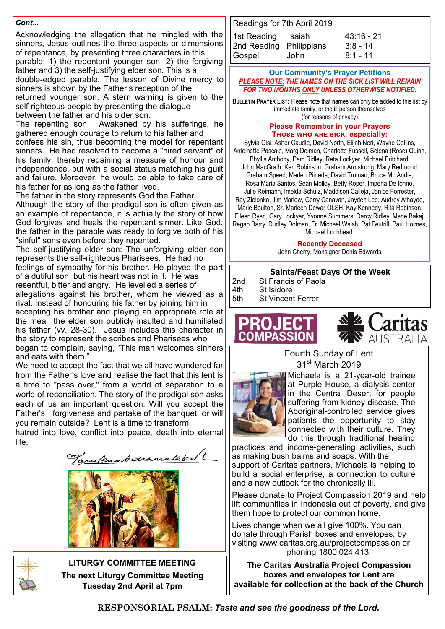#### *Cont...*

Acknowledging the allegation that he mingled with the sinners, Jesus outlines the three aspects or dimensions of repentance, by presenting three characters in this parable: 1) the repentant younger son, 2) the forgiving father and 3) the self-justifying elder son. This is a double-edged parable. The lesson of Divine mercy to sinners is shown by the Father's reception of the returned younger son. A stern warning is given to the self-righteous people by presenting the dialogue

between the father and his older son.

The repenting son: Awakened by his sufferings, he gathered enough courage to return to his father and confess his sin, thus becoming the model for repentant sinners. He had resolved to become a "hired servant" of his family, thereby regaining a measure of honour and independence, but with a social status matching his guilt and failure. Moreover, he would be able to take care of his father for as long as the father lived.

The father in the story represents God the Father.

Although the story of the prodigal son is often given as an example of repentance, it is actually the story of how God forgives and heals the repentant sinner. Like God, the father in the parable was ready to forgive both of his "sinful" sons even before they repented.

The self-justifying elder son: The unforgiving elder son represents the self-righteous Pharisees. He had no feelings of sympathy for his brother. He played the part of a dutiful son, but his heart was not in it. He was resentful, bitter and angry. He levelled a series of allegations against his brother, whom he viewed as a rival. Instead of honouring his father by joining him in accepting his brother and playing an appropriate role at the meal, the elder son publicly insulted and humiliated his father (vv. 28-30). Jesus includes this character in the story to represent the scribes and Pharisees who began to complain, saying, "This man welcomes sinners and eats with them."

We need to accept the fact that we all have wandered far from the Father's love and realise the fact that this lent is a time to "pass over," from a world of separation to a world of reconciliation. The story of the prodigal son asks each of us an important question: Will you accept the Father's forgiveness and partake of the banquet, or will you remain outside? Lent is a time to transform

hatred into love, conflict into peace, death into eternal life.

anufrumbedramatako





**LITURGY COMMITTEE MEETING The next Liturgy Committee Meeting Tuesday 2nd April at 7pm**

| Readings for 7th April 2019 |      |              |
|-----------------------------|------|--------------|
| 1st Reading Isaiah          |      | $43:16 - 21$ |
| 2nd Reading Philippians     |      | $3:8 - 14$   |
| Gospel                      | John | $8:1 - 11$   |

#### **Our Community's Prayer Petitions**  *PLEASE NOTE: THE NAMES ON THE SICK LIST WILL REMAIN FOR TWO MONTHS ONLY UNLESS OTHERWISE NOTIFIED.*

**BULLETIN PRAYER LIST:** Please note that names can only be added to this list by immediate family, or the ill person themselves (for reasons of privacy).

#### **Please Remember in your Prayers Those who are sick, especially:**

Sylvia Gisi, Asher Caudle, David North, Elijah Neri, Wayne Collins, Antoinette Pascale, Marg Dolman, Charlotte Fussell, Selena (Rose) Quinn, Phyllis Anthony, Pam Ridley, Reta Lockyer, Michael Pritchard, John MacGrath, Ken Robinson, Graham Armstrong, Mary Redmond, Graham Speed, Marlen Piineda, David Truman, Bruce Mc Andie, Rosa Maria Santos, Sean Molloy, Betty Roper, Imperia De Ionno, Julie Reimann, Imelda Schulz, Maddison Calleja, Janice Forrester, Ray Zielonka, Jim Marlow, Gerry Canavan, Jayden Lee, Audrey Athayde, Marie Boulton, Sr. Marleen Dewar OLSH, Kay Kennedy, Rita Robinson, Eileen Ryan, Gary Lockyer, Yvonne Summers, Darcy Ridley, Marie Bakaj, Regan Barry, Dudley Dolman, Fr. Michael Walsh, Pat Feutrill, Paul Holmes, Michael Lochhead.

**Recently Deceased**

John Cherry, Monsignor Denis Edwards

|     | <b>Saints/Feast Days Of the Week</b> |
|-----|--------------------------------------|
| 2nd | <b>St Francis of Paola</b>           |
| 4th | St Isidore                           |
| 5th | <b>St Vincent Ferrer</b>             |





Fourth Sunday of Lent 31st March 2019



Michaela is a 21-year-old trainee at Purple House, a dialysis center in the Central Desert for people suffering from kidney disease. The Aboriginal-controlled service gives patients the opportunity to stay connected with their culture. They do this through traditional healing

practices and income-generating activities, such as making bush balms and soaps. With the support of Caritas partners, Michaela is helping to build a social enterprise, a connection to culture and a new outlook for the chronically ill.

Please donate to Project Compassion 2019 and help lift communities in Indonesia out of poverty, and give them hope to protect our common home.

Lives change when we all give 100%. You can donate through Parish boxes and envelopes, by visiting www.caritas.org.au/projectcompassion or phoning 1800 024 413.

**The Caritas Australia Project Compassion boxes and envelopes for Lent are available for collection at the back of the Church**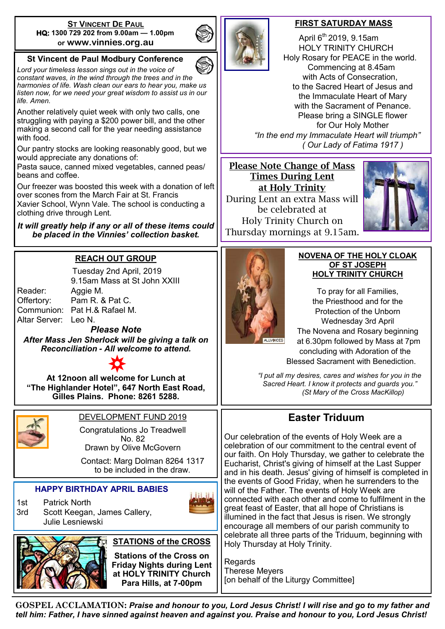#### **ST VINCENT DE PAUL HQ: 1300 729 202 from 9.00am — 1.00pm or www.vinnies.org.au**

### **St Vincent de Paul Modbury Conference**

*Lord your timeless lesson sings out in the voice of constant waves, in the wind through the trees and in the harmonies of life. Wash clean our ears to hear you, make us listen now, for we need your great wisdom to assist us in our life. Amen.*

Another relatively quiet week with only two calls, one struggling with paying a \$200 power bill, and the other making a second call for the year needing assistance with food.

Our pantry stocks are looking reasonably good, but we would appreciate any donations of:

Pasta sauce, canned mixed vegetables, canned peas/ beans and coffee.

Our freezer was boosted this week with a donation of left over scones from the March Fair at St. Francis

Xavier School, Wynn Vale. The school is conducting a clothing drive through Lent.

*It will greatly help if any or all of these items could be placed in the Vinnies' collection basket.* 

# **REACH OUT GROUP**

|                      | Tuesday 2nd April, 2019      |
|----------------------|------------------------------|
|                      | 9.15am Mass at St John XXIII |
| Reader:              | Aggie M.                     |
| Offertory:           | Pam R. & Pat C.              |
|                      | Communion: Pat H.& Rafael M. |
| Altar Server: Leo N. |                              |
|                      | .  Al_4.                     |

*Please Note After Mass Jen Sherlock will be giving a talk on Reconciliation - All welcome to attend.*



**At 12noon all welcome for Lunch at "The Highlander Hotel", 647 North East Road, Gilles Plains. Phone: 8261 5288.**



# DEVELOPMENT FUND 2019

Congratulations Jo Treadwell No. 82 Drawn by Olive McGovern

Contact: Marg Dolman 8264 1317 to be included in the draw.

#### **HAPPY BIRTHDAY APRIL BABIES**

1st Patrick North 3rd Scott Keegan, James Callery, Julie Lesniewski







### **STATIONS of the CROSS**

**Stations of the Cross on Friday Nights during Lent at HOLY TRINITY Church Para Hills, at 7-00pm** 



#### **FIRST SATURDAY MASS**

April  $6<sup>th</sup>$  2019, 9.15am HOLY TRINITY CHURCH Holy Rosary for PEACE in the world. Commencing at 8.45am with Acts of Consecration, to the Sacred Heart of Jesus and the Immaculate Heart of Mary with the Sacrament of Penance. Please bring a SINGLE flower for Our Holy Mother  *"In the end my Immaculate Heart will triumph" ( Our Lady of Fatima 1917 )*

#### Please Note Change of Mass Times During Lent at Holy Trinity

During Lent an extra Mass will be celebrated at Holy Trinity Church on Thursday mornings at 9.15am.





#### **NOVENA OF THE HOLY CLOAK OF ST JOSEPH HOLY TRINITY CHURCH**

To pray for all Families, the Priesthood and for the Protection of the Unborn Wednesday 3rd April The Novena and Rosary beginning at 6.30pm followed by Mass at 7pm concluding with Adoration of the

Blessed Sacrament with Benediction.

*"I put all my desires, cares and wishes for you in the Sacred Heart. I know it protects and guards you." (St Mary of the Cross MacKillop)*

# **Easter Triduum**

Our celebration of the events of Holy Week are a celebration of our commitment to the central event of our faith. On Holy Thursday, we gather to celebrate the Eucharist, Christ's giving of himself at the Last Supper and in his death. Jesus' giving of himself is completed in the events of Good Friday, when he surrenders to the will of the Father. The events of Holy Week are connected with each other and come to fulfilment in the great feast of Easter, that all hope of Christians is illumined in the fact that Jesus is risen. We strongly encourage all members of our parish community to celebrate all three parts of the Triduum, beginning with Holy Thursday at Holy Trinity.

**Regards** Therese Meyers [on behalf of the Liturgy Committee]

**GOSPEL ACCLAMATION:** *Praise and honour to you, Lord Jesus Christ! I will rise and go to my father and tell him: Father, I have sinned against heaven and against you. Praise and honour to you, Lord Jesus Christ!*